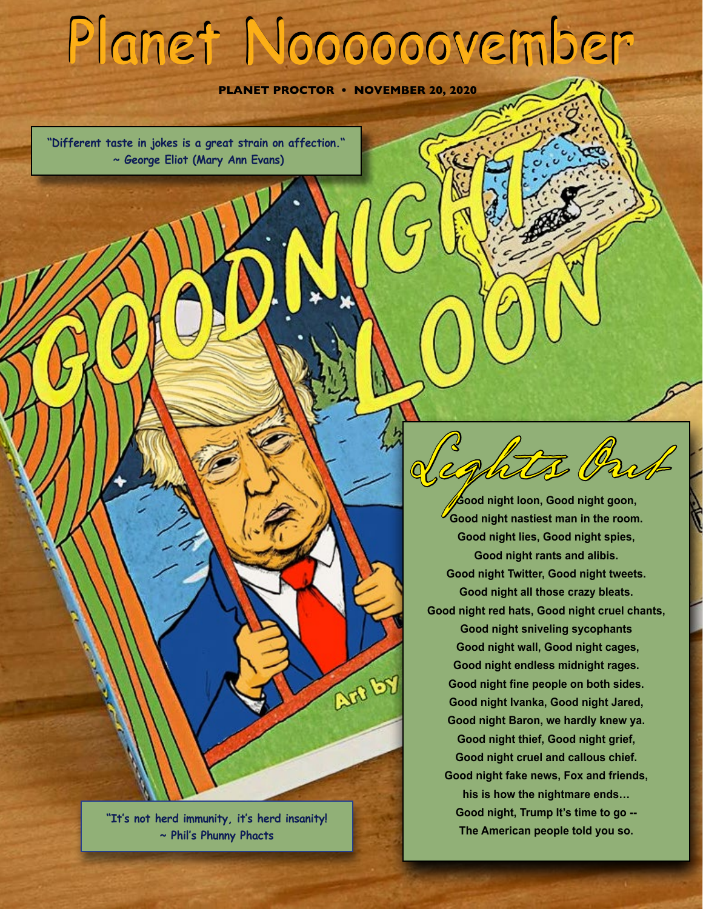# **Planet Noooooovember**

**PLANET PROCTOR • NOVEMBER 20, 2020**

**Art by** 

**"Different taste in jokes is a great strain on affection." ~ George Eliot (Mary Ann Evans)**

> **"It's not herd immunity, it's herd insanity! ~ Phil's Phunny Phacts**

**Good night loon, Good night goon, Good night nastiest man in the room. Good night lies, Good night spies, Good night rants and alibis. Good night Twitter, Good night tweets. Good night all those crazy bleats. Good night red hats, Good night cruel chants, Good night sniveling sycophants Good night wall, Good night cages, Good night endless midnight rages. Good night fine people on both sides. Good night Ivanka, Good night Jared, Good night Baron, we hardly knew ya. Good night thief, Good night grief, Good night cruel and callous chief. Good night fake news, Fox and friends, his is how the nightmare ends… Good night, Trump It's time to go -- The American people told you so.**

Lights Out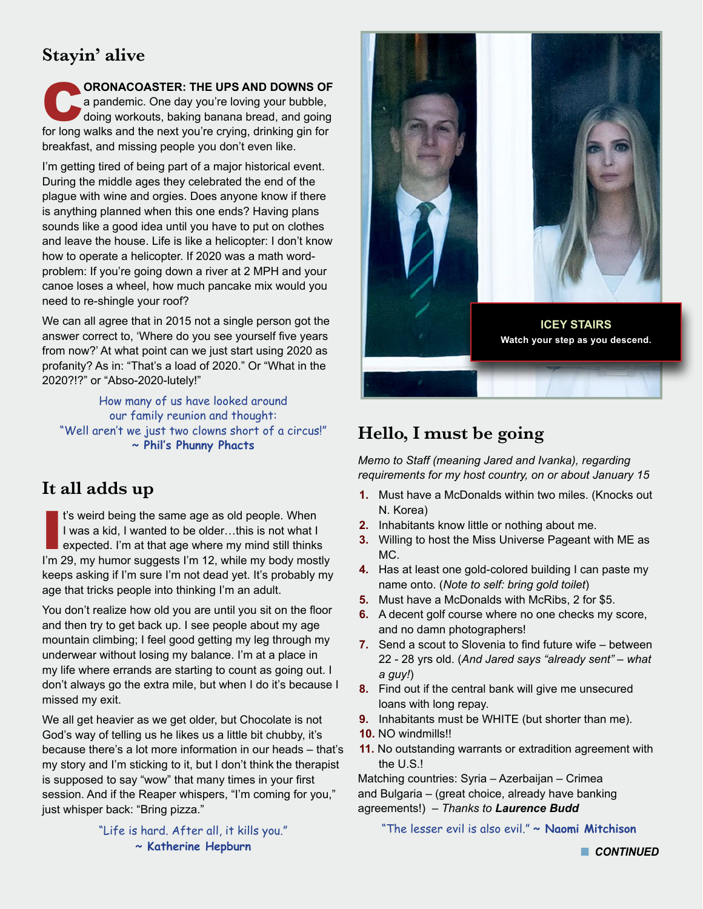# **Stayin' alive**

**CORONACOASTER: THE UPS AND DOWNS OF**<br>
a pandemic. One day you're loving your bubble,<br>
doing workouts, baking banana bread, and going<br>
for long walks and the next vouting engines drinking ain for a pandemic. One day you're loving your bubble, for long walks and the next you're crying, drinking gin for breakfast, and missing people you don't even like.

I'm getting tired of being part of a major historical event. During the middle ages they celebrated the end of the plague with wine and orgies. Does anyone know if there is anything planned when this one ends? Having plans sounds like a good idea until you have to put on clothes and leave the house. Life is like a helicopter: I don't know how to operate a helicopter. If 2020 was a math wordproblem: If you're going down a river at 2 MPH and your canoe loses a wheel, how much pancake mix would you need to re-shingle your roof?

We can all agree that in 2015 not a single person got the answer correct to, 'Where do you see yourself five years from now?' At what point can we just start using 2020 as profanity? As in: "That's a load of 2020." Or "What in the 2020?!?" or "Abso-2020-lutely!"

How many of us have looked around our family reunion and thought: "Well aren't we just two clowns short of a circus!" **~ Phil's Phunny Phacts**

## **It all adds up**

I's weird being the same age as old people. When<br>I was a kid, I wanted to be older...this is not what I<br>expected. I'm at that age where my mind still thinks<br>I'm 29, my humor suggests I'm 12, while my body mostly t's weird being the same age as old people. When I was a kid, I wanted to be older…this is not what I expected. I'm at that age where my mind still thinks keeps asking if I'm sure I'm not dead yet. It's probably my age that tricks people into thinking I'm an adult.

You don't realize how old you are until you sit on the floor and then try to get back up. I see people about my age mountain climbing; I feel good getting my leg through my underwear without losing my balance. I'm at a place in my life where errands are starting to count as going out. I don't always go the extra mile, but when I do it's because I missed my exit.

We all get heavier as we get older, but Chocolate is not God's way of telling us he likes us a little bit chubby, it's because there's a lot more information in our heads – that's my story and I'm sticking to it, but I don't think the therapist is supposed to say "wow" that many times in your first session. And if the Reaper whispers, "I'm coming for you," just whisper back: "Bring pizza."

> "Life is hard. After all, it kills you." **~ Katherine Hepburn**



# **Hello, I must be going**

*Memo to Staff (meaning Jared and Ivanka), regarding requirements for my host country, on or about January 15*

- **1.** Must have a McDonalds within two miles. (Knocks out N. Korea)
- **2.** Inhabitants know little or nothing about me.
- **3.** Willing to host the Miss Universe Pageant with ME as MC.
- **4.** Has at least one gold-colored building I can paste my name onto. (*Note to self: bring gold toilet*)
- **5.** Must have a McDonalds with McRibs, 2 for \$5.
- **6.** A decent golf course where no one checks my score, and no damn photographers!
- **7.** Send a scout to Slovenia to find future wife between 22 - 28 yrs old. (*And Jared says "already sent" – what a guy!*)
- **8.** Find out if the central bank will give me unsecured loans with long repay.
- **9.** Inhabitants must be WHITE (but shorter than me).
- **10.** NO windmills!!
- **11.** No outstanding warrants or extradition agreement with the U.S.!

Matching countries: Syria – Azerbaijan – Crimea and Bulgaria – (great choice, already have banking agreements!) – *Thanks to Laurence Budd*

"The lesser evil is also evil." **~ Naomi Mitchison**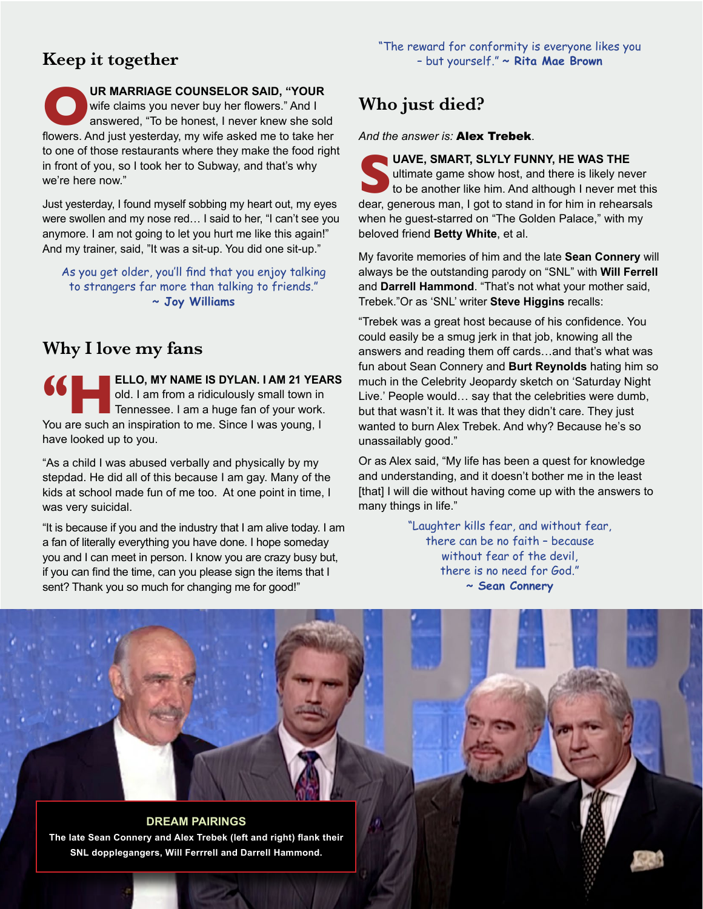# **Keep it together**

UR MARRIAGE COUNSELOR SAID, "YOUR wife claims you never buy her flowers." And I answered, "To be honest, I never knew she sold wife claims you never buy her flowers." And I answered, "To be honest, I never knew she sold flowers. And just yesterday, my wife asked me to take her to one of those restaurants where they make the food right in front of you, so I took her to Subway, and that's why we're here now."

Just yesterday, I found myself sobbing my heart out, my eyes were swollen and my nose red… I said to her, "I can't see you anymore. I am not going to let you hurt me like this again!" And my trainer, said, "It was a sit-up. You did one sit-up."

As you get older, you'll find that you enjoy talking to strangers far more than talking to friends." **~ Joy Williams**

# **Why I love my fans**

**18 ELLO, MY NAME IS DYLAN. I AM 21 YEARS**<br>
old. I am from a ridiculously small town in<br>
Tennessee. I am a huge fan of your work.<br>
You are such an inspiration to me. Since I was young. I old. I am from a ridiculously small town in Tennessee. I am a huge fan of your work. You are such an inspiration to me. Since I was young, I have looked up to you.

"As a child I was abused verbally and physically by my stepdad. He did all of this because I am gay. Many of the kids at school made fun of me too. At one point in time, I was very suicidal.

"It is because if you and the industry that I am alive today. I am a fan of literally everything you have done. I hope someday you and I can meet in person. I know you are crazy busy but, if you can find the time, can you please sign the items that I sent? Thank you so much for changing me for good!"

# **Who just died?**

*And the answer is:* Alex Trebek.

UAVE, SMART, SLYLY FUNNY, HE WAS THE ultimate game show host, and there is likely never to be another like him. And although I never me dear. generous man. I got to stand in for him in rehear ultimate game show host, and there is likely never to be another like him. And although I never met this dear, generous man, I got to stand in for him in rehearsals when he guest-starred on "The Golden Palace," with my beloved friend **Betty White**, et al.

My favorite memories of him and the late **Sean Connery** will always be the outstanding parody on "SNL" with **Will Ferrell** and **Darrell Hammond**. "That's not what your mother said, Trebek."Or as 'SNL' writer **Steve Higgins** recalls:

"Trebek was a great host because of his confidence. You could easily be a smug jerk in that job, knowing all the answers and reading them off cards…and that's what was fun about Sean Connery and **Burt Reynolds** hating him so much in the Celebrity Jeopardy sketch on 'Saturday Night Live.' People would… say that the celebrities were dumb, but that wasn't it. It was that they didn't care. They just wanted to burn Alex Trebek. And why? Because he's so unassailably good."

Or as Alex said, "My life has been a quest for knowledge and understanding, and it doesn't bother me in the least [that] I will die without having come up with the answers to many things in life."

> "Laughter kills fear, and without fear, there can be no faith – because without fear of the devil, there is no need for God." **~ Sean Connery**

> > n *CONTINUED*

**DREAM PAIRINGS The late Sean Connery and Alex Trebek (left and right) flank their SNL dopplegangers, Will Ferrrell and Darrell Hammond.**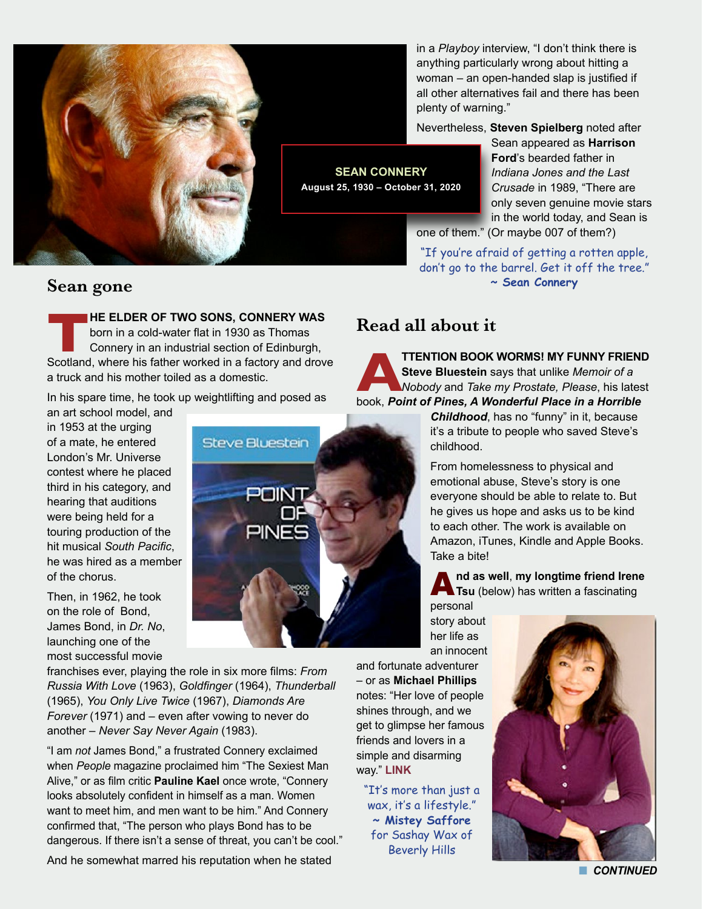

in a *Playboy* interview, "I don't think there is anything particularly wrong about hitting a woman – an open-handed slap is justified if all other alternatives fail and there has been plenty of warning."

Nevertheless, **Steven Spielberg** noted after

Sean appeared as **Harrison Ford**'s bearded father in *Indiana Jones and the Last Crusade* in 1989, "There are only seven genuine movie stars in the world today, and Sean is one of them." (Or maybe 007 of them?)

"If you're afraid of getting a rotten apple, don't go to the barrel. Get it off the tree." **~ Sean Connery**

#### **Sean gone**

born in a cold-water flat in 1930 as Thomas

**TRIFFICHER OF TWO SONS, CONNERY WAS**<br>
born in a cold-water flat in 1930 as Thomas<br>
Connery in an industrial section of Edinburgh,<br>
Scotland, where his father worked in a factory and drove Connery in an industrial section of Edinburgh, a truck and his mother toiled as a domestic.

In his spare time, he took up weightlifting and posed as

an art school model, and in 1953 at the urging of a mate, he entered London's Mr. Universe contest where he placed third in his category, and hearing that auditions were being held for a touring production of the hit musical *South Pacific*, he was hired as a member of the chorus.

Then, in 1962, he took on the role of Bond, James Bond, in *Dr. No*, launching one of the most successful movie

franchises ever, playing the role in six more films: *From Russia With Love* (1963), *Goldfinger* (1964), *Thunderball* (1965), *You Only Live Twice* (1967), *Diamonds Are Forever* (1971) and – even after vowing to never do another – *Never Say Never Again* (1983).

"I am *not* James Bond," a frustrated Connery exclaimed when *People* magazine proclaimed him "The Sexiest Man Alive," or as film critic **Pauline Kael** once wrote, "Connery looks absolutely confident in himself as a man. Women want to meet him, and men want to be him." And Connery confirmed that, "The person who plays Bond has to be dangerous. If there isn't a sense of threat, you can't be cool."

And he somewhat marred his reputation when he stated



### **Read all about it**

**ATTENTION BOOK WORMS! MY FUNNY FRIEND**<br> **Steve Bluestein** says that unlike *Memoir of a*<br> *Nobody* and *Take my Prostate, Please, his latest*<br>
book, *Point of Pines, A Wonderful Place in a Horrible* **Steve Bluestein** says that unlike *Memoir of a Nobody* and *Take my Prostate, Please*, his latest

*Childhood*, has no "funny" in it, because it's a tribute to people who saved Steve's childhood.

From homelessness to physical and emotional abuse, Steve's story is one everyone should be able to relate to. But he gives us hope and asks us to be kind to each other. The work is available on Amazon, iTunes, Kindle and Apple Books. Take a bite!

A**nd as well**, **my longtime friend Irene Tsu** (below) has written a fascinating

personal story about her life as an innocent

and fortunate adventurer – or as **Michael Phillips** notes: "Her love of people shines through, and we get to glimpse her famous friends and lovers in a simple and disarming way." **[LINK](https://irenetsu-entertainment.com)**

"It's more than just a wax, it's a lifestyle." **~ Mistey Saffore**  for Sashay Wax of Beverly Hills



**n** CONTINUED